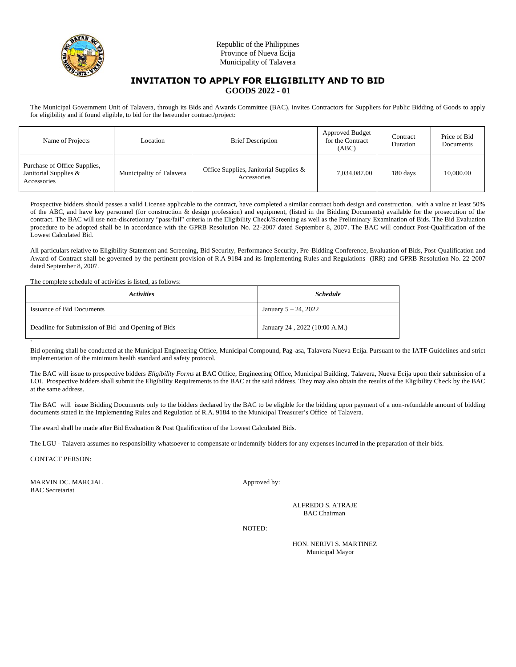

# **INVITATION TO APPLY FOR ELIGIBILITY AND TO BID GOODS 2022 - 01**

The Municipal Government Unit of Talavera, through its Bids and Awards Committee (BAC), invites Contractors for Suppliers for Public Bidding of Goods to apply for eligibility and if found eligible, to bid for the hereunder contract/project:

| Name of Projects                                                     | Location                 | <b>Brief Description</b>                              | Approved Budget<br>for the Contract<br>(ABC) | Contract<br>Duration | Price of Bid<br>Documents |
|----------------------------------------------------------------------|--------------------------|-------------------------------------------------------|----------------------------------------------|----------------------|---------------------------|
| Purchase of Office Supplies,<br>Janitorial Supplies &<br>Accessories | Municipality of Talavera | Office Supplies, Janitorial Supplies &<br>Accessories | 7,034,087.00                                 | 180 days             | 10,000.00                 |

Prospective bidders should passes a valid License applicable to the contract, have completed a similar contract both design and construction, with a value at least 50% of the ABC, and have key personnel (for construction & design profession) and equipment, (listed in the Bidding Documents) available for the prosecution of the contract. The BAC will use non-discretionary "pass/fail" criteria in the Eligibility Check/Screening as well as the Preliminary Examination of Bids. The Bid Evaluation procedure to be adopted shall be in accordance with the GPRB Resolution No. 22-2007 dated September 8, 2007. The BAC will conduct Post-Qualification of the Lowest Calculated Bid.

All particulars relative to Eligibility Statement and Screening, Bid Security, Performance Security, Pre-Bidding Conference, Evaluation of Bids, Post-Qualification and Award of Contract shall be governed by the pertinent provision of R.A 9184 and its Implementing Rules and Regulations (IRR) and GPRB Resolution No. 22-2007 dated September 8, 2007.

The complete schedule of activities is listed, as follows:

| <i><b>Activities</b></i>                           | <b>Schedule</b>               |  |
|----------------------------------------------------|-------------------------------|--|
| <b>Issuance of Bid Documents</b>                   | January $5 - 24$ , 2022       |  |
| Deadline for Submission of Bid and Opening of Bids | January 24, 2022 (10:00 A.M.) |  |

` Bid opening shall be conducted at the Municipal Engineering Office, Municipal Compound, Pag-asa, Talavera Nueva Ecija. Pursuant to the IATF Guidelines and strict implementation of the minimum health standard and safety protocol.

The BAC will issue to prospective bidders *Eligibility Forms* at BAC Office, Engineering Office, Municipal Building, Talavera, Nueva Ecija upon their submission of a LOI. Prospective bidders shall submit the Eligibility Requirements to the BAC at the said address. They may also obtain the results of the Eligibility Check by the BAC at the same address.

The BAC will issue Bidding Documents only to the bidders declared by the BAC to be eligible for the bidding upon payment of a non-refundable amount of bidding documents stated in the Implementing Rules and Regulation of R.A. 9184 to the Municipal Treasurer's Office of Talavera.

The award shall be made after Bid Evaluation & Post Qualification of the Lowest Calculated Bids.

The LGU - Talavera assumes no responsibility whatsoever to compensate or indemnify bidders for any expenses incurred in the preparation of their bids.

CONTACT PERSON:

MARVIN DC. MARCIAL Approved by: BAC Secretariat

ALFREDO S. ATRAJE BAC Chairman

NOTED: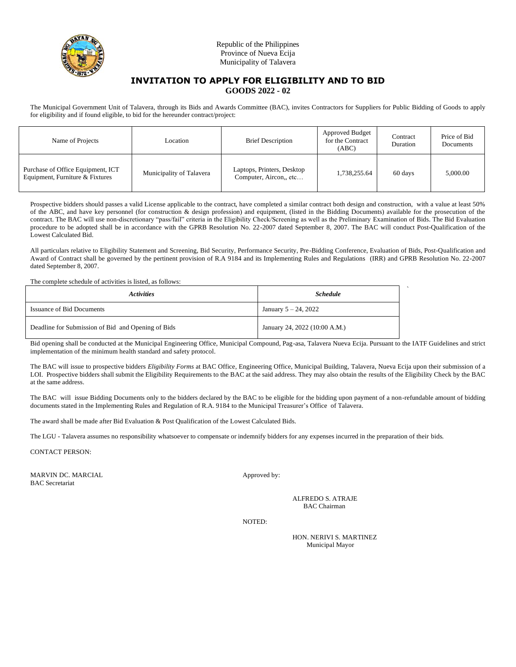

# **INVITATION TO APPLY FOR ELIGIBILITY AND TO BID GOODS 2022 - 02**

The Municipal Government Unit of Talavera, through its Bids and Awards Committee (BAC), invites Contractors for Suppliers for Public Bidding of Goods to apply for eligibility and if found eligible, to bid for the hereunder contract/project:

| Name of Projects                                                     | Location                 | <b>Brief Description</b>                            | Approved Budget<br>for the Contract<br>(ABC) | Contract<br>Duration | Price of Bid<br>Documents |
|----------------------------------------------------------------------|--------------------------|-----------------------------------------------------|----------------------------------------------|----------------------|---------------------------|
| Purchase of Office Equipment, ICT<br>Equipment, Furniture & Fixtures | Municipality of Talavera | Laptops, Printers, Desktop<br>Computer, Aircon, etc | 1,738,255.64                                 | 60 days              | 5,000.00                  |

Prospective bidders should passes a valid License applicable to the contract, have completed a similar contract both design and construction, with a value at least 50% of the ABC, and have key personnel (for construction & design profession) and equipment, (listed in the Bidding Documents) available for the prosecution of the contract. The BAC will use non-discretionary "pass/fail" criteria in the Eligibility Check/Screening as well as the Preliminary Examination of Bids. The Bid Evaluation procedure to be adopted shall be in accordance with the GPRB Resolution No. 22-2007 dated September 8, 2007. The BAC will conduct Post-Qualification of the Lowest Calculated Bid.

All particulars relative to Eligibility Statement and Screening, Bid Security, Performance Security, Pre-Bidding Conference, Evaluation of Bids, Post-Qualification and Award of Contract shall be governed by the pertinent provision of R.A 9184 and its Implementing Rules and Regulations (IRR) and GPRB Resolution No. 22-2007 dated September 8, 2007.

The complete schedule of activities is listed, as follows:

| <i>Activities</i>                                  | <b>Schedule</b>               |  |
|----------------------------------------------------|-------------------------------|--|
| <b>Issuance of Bid Documents</b>                   | January $5 - 24$ , 2022       |  |
| Deadline for Submission of Bid and Opening of Bids | January 24, 2022 (10:00 A.M.) |  |

Bid opening shall be conducted at the Municipal Engineering Office, Municipal Compound, Pag-asa, Talavera Nueva Ecija. Pursuant to the IATF Guidelines and strict implementation of the minimum health standard and safety protocol.

The BAC will issue to prospective bidders *Eligibility Forms* at BAC Office, Engineering Office, Municipal Building, Talavera, Nueva Ecija upon their submission of a LOI. Prospective bidders shall submit the Eligibility Requirements to the BAC at the said address. They may also obtain the results of the Eligibility Check by the BAC at the same address.

The BAC will issue Bidding Documents only to the bidders declared by the BAC to be eligible for the bidding upon payment of a non-refundable amount of bidding documents stated in the Implementing Rules and Regulation of R.A. 9184 to the Municipal Treasurer's Office of Talavera.

The award shall be made after Bid Evaluation & Post Qualification of the Lowest Calculated Bids.

The LGU - Talavera assumes no responsibility whatsoever to compensate or indemnify bidders for any expenses incurred in the preparation of their bids.

CONTACT PERSON:

MARVIN DC. MARCIAL Approved by: BAC Secretariat

ALFREDO S. ATRAJE BAC Chairman

`

NOTED: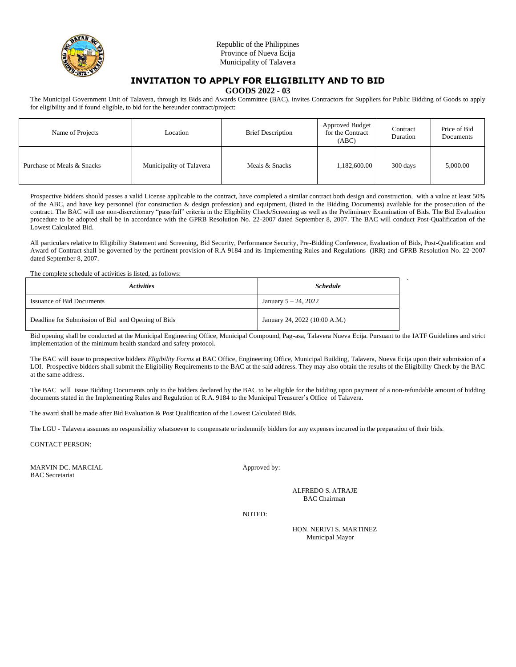

# **INVITATION TO APPLY FOR ELIGIBILITY AND TO BID**

**GOODS 2022 - 03**

The Municipal Government Unit of Talavera, through its Bids and Awards Committee (BAC), invites Contractors for Suppliers for Public Bidding of Goods to apply for eligibility and if found eligible, to bid for the hereunder contract/project:

| Name of Projects           | Location                 | <b>Brief Description</b> | Approved Budget<br>for the Contract<br>(ABC) | Contract<br>Duration | Price of Bid<br>Documents |
|----------------------------|--------------------------|--------------------------|----------------------------------------------|----------------------|---------------------------|
| Purchase of Meals & Snacks | Municipality of Talavera | Meals & Snacks           | 1,182,600.00                                 | 300 days             | 5,000.00                  |

Prospective bidders should passes a valid License applicable to the contract, have completed a similar contract both design and construction, with a value at least 50% of the ABC, and have key personnel (for construction & design profession) and equipment, (listed in the Bidding Documents) available for the prosecution of the contract. The BAC will use non-discretionary "pass/fail" criteria in the Eligibility Check/Screening as well as the Preliminary Examination of Bids. The Bid Evaluation procedure to be adopted shall be in accordance with the GPRB Resolution No. 22-2007 dated September 8, 2007. The BAC will conduct Post-Qualification of the Lowest Calculated Bid.

All particulars relative to Eligibility Statement and Screening, Bid Security, Performance Security, Pre-Bidding Conference, Evaluation of Bids, Post-Qualification and Award of Contract shall be governed by the pertinent provision of R.A 9184 and its Implementing Rules and Regulations (IRR) and GPRB Resolution No. 22-2007 dated September 8, 2007.

The complete schedule of activities is listed, as follows:

| <i><b>Activities</b></i>                           | <b>Schedule</b>               |  |
|----------------------------------------------------|-------------------------------|--|
| <b>Issuance of Bid Documents</b>                   | January $5 - 24$ , 2022       |  |
| Deadline for Submission of Bid and Opening of Bids | January 24, 2022 (10:00 A.M.) |  |

Bid opening shall be conducted at the Municipal Engineering Office, Municipal Compound, Pag-asa, Talavera Nueva Ecija. Pursuant to the IATF Guidelines and strict implementation of the minimum health standard and safety protocol.

The BAC will issue to prospective bidders *Eligibility Forms* at BAC Office, Engineering Office, Municipal Building, Talavera, Nueva Ecija upon their submission of a LOI. Prospective bidders shall submit the Eligibility Requirements to the BAC at the said address. They may also obtain the results of the Eligibility Check by the BAC at the same address.

The BAC will issue Bidding Documents only to the bidders declared by the BAC to be eligible for the bidding upon payment of a non-refundable amount of bidding documents stated in the Implementing Rules and Regulation of R.A. 9184 to the Municipal Treasurer's Office of Talavera.

The award shall be made after Bid Evaluation & Post Qualification of the Lowest Calculated Bids.

The LGU - Talavera assumes no responsibility whatsoever to compensate or indemnify bidders for any expenses incurred in the preparation of their bids.

CONTACT PERSON:

MARVIN DC. MARCIAL Approved by: BAC Secretariat

ALFREDO S. ATRAJE BAC Chairman

NOTED:

HON. NERIVI S. MARTINEZ Municipal Mayor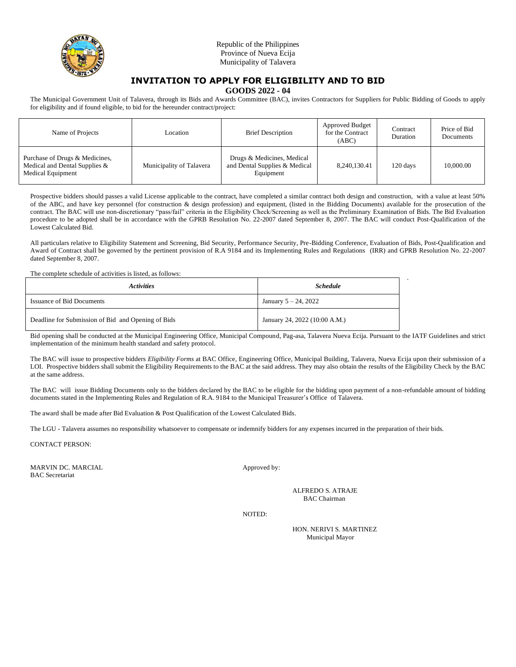

# **INVITATION TO APPLY FOR ELIGIBILITY AND TO BID**

**GOODS 2022 - 04**

The Municipal Government Unit of Talavera, through its Bids and Awards Committee (BAC), invites Contractors for Suppliers for Public Bidding of Goods to apply for eligibility and if found eligible, to bid for the hereunder contract/project:

| Name of Projects                                                                     | Location -               | <b>Brief Description</b>                                                 | Approved Budget<br>for the Contract<br>(ABC) | Contract<br>Duration | Price of Bid<br>Documents |
|--------------------------------------------------------------------------------------|--------------------------|--------------------------------------------------------------------------|----------------------------------------------|----------------------|---------------------------|
| Purchase of Drugs & Medicines,<br>Medical and Dental Supplies &<br>Medical Equipment | Municipality of Talavera | Drugs & Medicines, Medical<br>and Dental Supplies & Medical<br>Equipment | 8,240,130.41                                 | 120 days             | 10,000.00                 |

Prospective bidders should passes a valid License applicable to the contract, have completed a similar contract both design and construction, with a value at least 50% of the ABC, and have key personnel (for construction & design profession) and equipment, (listed in the Bidding Documents) available for the prosecution of the contract. The BAC will use non-discretionary "pass/fail" criteria in the Eligibility Check/Screening as well as the Preliminary Examination of Bids. The Bid Evaluation procedure to be adopted shall be in accordance with the GPRB Resolution No. 22-2007 dated September 8, 2007. The BAC will conduct Post-Qualification of the Lowest Calculated Bid.

All particulars relative to Eligibility Statement and Screening, Bid Security, Performance Security, Pre-Bidding Conference, Evaluation of Bids, Post-Qualification and Award of Contract shall be governed by the pertinent provision of R.A 9184 and its Implementing Rules and Regulations (IRR) and GPRB Resolution No. 22-2007 dated September 8, 2007.

The complete schedule of activities is listed, as follows:

| <i>Activities</i>                                  | <b>Schedule</b>               |  |
|----------------------------------------------------|-------------------------------|--|
| <b>Issuance of Bid Documents</b>                   | January $5 - 24$ , 2022       |  |
| Deadline for Submission of Bid and Opening of Bids | January 24, 2022 (10:00 A.M.) |  |

Bid opening shall be conducted at the Municipal Engineering Office, Municipal Compound, Pag-asa, Talavera Nueva Ecija. Pursuant to the IATF Guidelines and strict implementation of the minimum health standard and safety protocol.

The BAC will issue to prospective bidders *Eligibility Forms* at BAC Office, Engineering Office, Municipal Building, Talavera, Nueva Ecija upon their submission of a LOI. Prospective bidders shall submit the Eligibility Requirements to the BAC at the said address. They may also obtain the results of the Eligibility Check by the BAC at the same address.

The BAC will issue Bidding Documents only to the bidders declared by the BAC to be eligible for the bidding upon payment of a non-refundable amount of bidding documents stated in the Implementing Rules and Regulation of R.A. 9184 to the Municipal Treasurer's Office of Talavera.

The award shall be made after Bid Evaluation & Post Qualification of the Lowest Calculated Bids.

The LGU - Talavera assumes no responsibility whatsoever to compensate or indemnify bidders for any expenses incurred in the preparation of their bids.

CONTACT PERSON:

MARVIN DC. MARCIAL Approved by: BAC Secretariat

ALFREDO S. ATRAJE BAC Chairman

NOTED:

HON. NERIVI S. MARTINEZ Municipal Mayor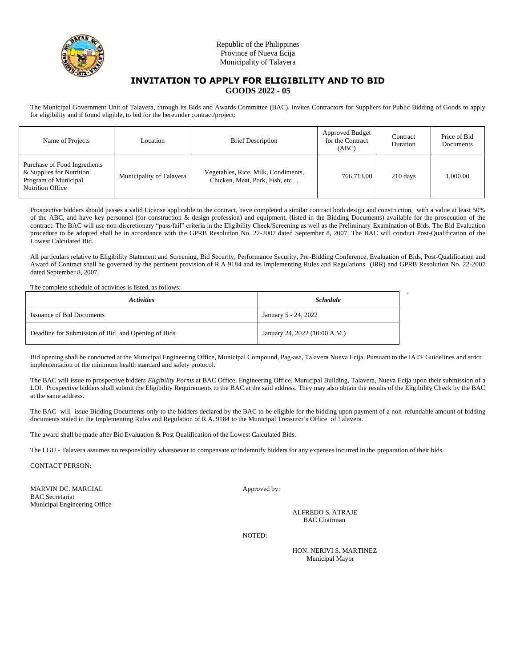

### **INVITATION TO APPLY FOR ELIGIBILITY AND TO BID GOODS 2022 - 05**

The Municipal Government Unit of Talavera, through its Bids and Awards Committee (BAC), invites Contractors for Suppliers for Public Bidding of Goods to apply for eligibility and if found eligible, to bid for the hereunder contract/project:

| Name of Projects                                                                                            | Location                 | <b>Brief Description</b>                                              | Approved Budget<br>for the Contract<br>(ABC) | Contract<br>Duration | Price of Bid<br>Documents |
|-------------------------------------------------------------------------------------------------------------|--------------------------|-----------------------------------------------------------------------|----------------------------------------------|----------------------|---------------------------|
| Purchase of Food Ingredients<br>& Supplies for Nutrition<br>Program of Municipal<br><b>Nutrition Office</b> | Municipality of Talavera | Vegetables, Rice, Milk, Condiments,<br>Chicken, Meat, Pork, Fish, etc | 766,713.00                                   | 210 days             | 1.000.00                  |

Prospective bidders should passes a valid License applicable to the contract, have completed a similar contract both design and construction, with a value at least 50% of the ABC, and have key personnel (for construction & design profession) and equipment, (listed in the Bidding Documents) available for the prosecution of the contract. The BAC will use non-discretionary "pass/fail" criteria in the Eligibility Check/Screening as well as the Preliminary Examination of Bids. The Bid Evaluation procedure to be adopted shall be in accordance with the GPRB Resolution No. 22-2007 dated September 8, 2007. The BAC will conduct Post-Qualification of the Lowest Calculated Bid.

All particulars relative to Eligibility Statement and Screening, Bid Security, Performance Security, Pre-Bidding Conference, Evaluation of Bids, Post-Qualification and Award of Contract shall be governed by the pertinent provision of R.A 9184 and its Implementing Rules and Regulations (IRR) and GPRB Resolution No. 22-2007 dated September 8, 2007.

The complete schedule of activities is listed, as follows:

| <i>Activities</i>                                  | <b>Schedule</b>               |  |
|----------------------------------------------------|-------------------------------|--|
| <b>Issuance of Bid Documents</b>                   | January 5 - 24, 2022          |  |
| Deadline for Submission of Bid and Opening of Bids | January 24, 2022 (10:00 A.M.) |  |

Bid opening shall be conducted at the Municipal Engineering Office, Municipal Compound, Pag-asa, Talavera Nueva Ecija. Pursuant to the IATF Guidelines and strict implementation of the minimum health standard and safety protocol.

The BAC will issue to prospective bidders *Eligibility Forms* at BAC Office, Engineering Office, Municipal Building, Talavera, Nueva Ecija upon their submission of a LOI. Prospective bidders shall submit the Eligibility Requirements to the BAC at the said address. They may also obtain the results of the Eligibility Check by the BAC at the same address.

The BAC will issue Bidding Documents only to the bidders declared by the BAC to be eligible for the bidding upon payment of a non-refundable amount of bidding documents stated in the Implementing Rules and Regulation of R.A. 9184 to the Municipal Treasurer's Office of Talavera.

The award shall be made after Bid Evaluation & Post Qualification of the Lowest Calculated Bids.

The LGU - Talavera assumes no responsibility whatsoever to compensate or indemnify bidders for any expenses incurred in the preparation of their bids.

CONTACT PERSON:

MARVIN DC. MARCIAL Approved by: BAC Secretariat Municipal Engineering Office

ALFREDO S. ATRAJE BAC Chairman

NOTED:

HON. NERIVI S. MARTINEZ Municipal Mayor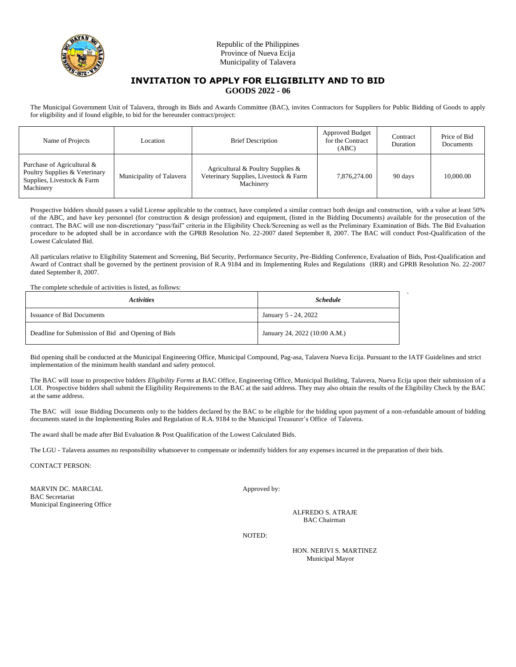

### **INVITATION TO APPLY FOR ELIGIBILITY AND TO BID GOODS 2022 - 06**

The Municipal Government Unit of Talavera, through its Bids and Awards Committee (BAC), invites Contractors for Suppliers for Public Bidding of Goods to apply for eligibility and if found eligible, to bid for the hereunder contract/project:

| Name of Projects                                                                                       | Location                 | <b>Brief Description</b>                                                                | Approved Budget<br>for the Contract<br>(ABC) | Contract<br>Duration | Price of Bid<br>Documents |
|--------------------------------------------------------------------------------------------------------|--------------------------|-----------------------------------------------------------------------------------------|----------------------------------------------|----------------------|---------------------------|
| Purchase of Agricultural &<br>Poultry Supplies & Veterinary<br>Supplies, Livestock & Farm<br>Machinery | Municipality of Talavera | Agricultural & Poultry Supplies &<br>Veterinary Supplies, Livestock & Farm<br>Machinery | 7.876.274.00                                 | 90 days              | 10,000.00                 |

Prospective bidders should passes a valid License applicable to the contract, have completed a similar contract both design and construction, with a value at least 50% of the ABC, and have key personnel (for construction & design profession) and equipment, (listed in the Bidding Documents) available for the prosecution of the contract. The BAC will use non-discretionary "pass/fail" criteria in the Eligibility Check/Screening as well as the Preliminary Examination of Bids. The Bid Evaluation procedure to be adopted shall be in accordance with the GPRB Resolution No. 22-2007 dated September 8, 2007. The BAC will conduct Post-Qualification of the Lowest Calculated Bid.

All particulars relative to Eligibility Statement and Screening, Bid Security, Performance Security, Pre-Bidding Conference, Evaluation of Bids, Post-Qualification and Award of Contract shall be governed by the pertinent provision of R.A 9184 and its Implementing Rules and Regulations (IRR) and GPRB Resolution No. 22-2007 dated September 8, 2007.

The complete schedule of activities is listed, as follows:

| <i>Activities</i>                                  | <b>Schedule</b>               |  |
|----------------------------------------------------|-------------------------------|--|
| <b>Issuance of Bid Documents</b>                   | January 5 - 24, 2022          |  |
| Deadline for Submission of Bid and Opening of Bids | January 24, 2022 (10:00 A.M.) |  |

Bid opening shall be conducted at the Municipal Engineering Office, Municipal Compound, Pag-asa, Talavera Nueva Ecija. Pursuant to the IATF Guidelines and strict implementation of the minimum health standard and safety protocol.

The BAC will issue to prospective bidders *Eligibility Forms* at BAC Office, Engineering Office, Municipal Building, Talavera, Nueva Ecija upon their submission of a LOI. Prospective bidders shall submit the Eligibility Requirements to the BAC at the said address. They may also obtain the results of the Eligibility Check by the BAC at the same address.

The BAC will issue Bidding Documents only to the bidders declared by the BAC to be eligible for the bidding upon payment of a non-refundable amount of bidding documents stated in the Implementing Rules and Regulation of R.A. 9184 to the Municipal Treasurer's Office of Talavera.

The award shall be made after Bid Evaluation & Post Qualification of the Lowest Calculated Bids.

The LGU - Talavera assumes no responsibility whatsoever to compensate or indemnify bidders for any expenses incurred in the preparation of their bids.

CONTACT PERSON:

MARVIN DC. MARCIAL Approved by: BAC Secretariat Municipal Engineering Office

ALFREDO S. ATRAJE BAC Chairman

NOTED:

HON. NERIVI S. MARTINEZ Municipal Mayor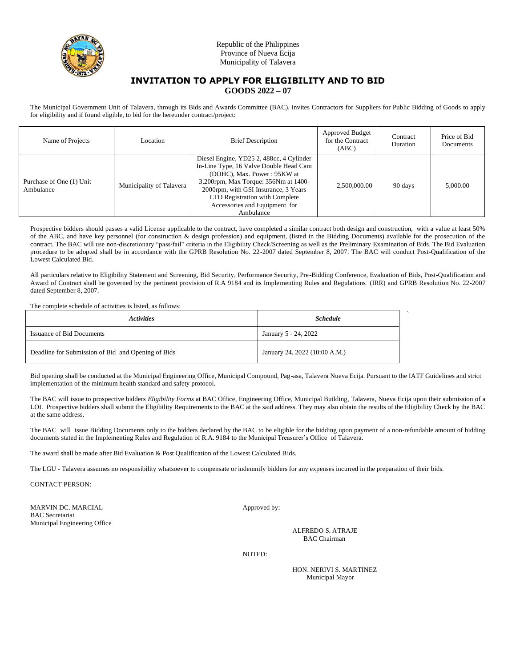

### **INVITATION TO APPLY FOR ELIGIBILITY AND TO BID GOODS 2022 – 07**

The Municipal Government Unit of Talavera, through its Bids and Awards Committee (BAC), invites Contractors for Suppliers for Public Bidding of Goods to apply for eligibility and if found eligible, to bid for the hereunder contract/project:

| Name of Projects                      | Location                 | <b>Brief Description</b>                                                                                                                                                                                                                                                          | <b>Approved Budget</b><br>for the Contract<br>(ABC) | Contract<br>Duration | Price of Bid<br>Documents |
|---------------------------------------|--------------------------|-----------------------------------------------------------------------------------------------------------------------------------------------------------------------------------------------------------------------------------------------------------------------------------|-----------------------------------------------------|----------------------|---------------------------|
| Purchase of One (1) Unit<br>Ambulance | Municipality of Talavera | Diesel Engine, YD25 2, 488cc, 4 Cylinder<br>In-Line Type, 16 Valve Double Head Cam<br>(DOHC), Max. Power: 95KW at<br>3,200rpm, Max Torque: 356Nm at 1400-<br>2000rpm, with GSI Insurance, 3 Years<br>LTO Registration with Complete<br>Accessories and Equipment for<br>Ambulance | 2.500,000.00                                        | 90 days              | 5,000.00                  |

Prospective bidders should passes a valid License applicable to the contract, have completed a similar contract both design and construction, with a value at least 50% of the ABC, and have key personnel (for construction & design profession) and equipment, (listed in the Bidding Documents) available for the prosecution of the contract. The BAC will use non-discretionary "pass/fail" criteria in the Eligibility Check/Screening as well as the Preliminary Examination of Bids. The Bid Evaluation procedure to be adopted shall be in accordance with the GPRB Resolution No. 22-2007 dated September 8, 2007. The BAC will conduct Post-Qualification of the Lowest Calculated Bid.

All particulars relative to Eligibility Statement and Screening, Bid Security, Performance Security, Pre-Bidding Conference, Evaluation of Bids, Post-Qualification and Award of Contract shall be governed by the pertinent provision of R.A 9184 and its Implementing Rules and Regulations (IRR) and GPRB Resolution No. 22-2007 dated September 8, 2007.

The complete schedule of activities is listed, as follows:

| <b>Activities</b>                                  | <b>Schedule</b>               |  |
|----------------------------------------------------|-------------------------------|--|
| <b>Issuance of Bid Documents</b>                   | January 5 - 24, 2022          |  |
| Deadline for Submission of Bid and Opening of Bids | January 24, 2022 (10:00 A.M.) |  |

Bid opening shall be conducted at the Municipal Engineering Office, Municipal Compound, Pag-asa, Talavera Nueva Ecija. Pursuant to the IATF Guidelines and strict implementation of the minimum health standard and safety protocol.

The BAC will issue to prospective bidders *Eligibility Forms* at BAC Office, Engineering Office, Municipal Building, Talavera, Nueva Ecija upon their submission of a LOI. Prospective bidders shall submit the Eligibility Requirements to the BAC at the said address. They may also obtain the results of the Eligibility Check by the BAC at the same address.

The BAC will issue Bidding Documents only to the bidders declared by the BAC to be eligible for the bidding upon payment of a non-refundable amount of bidding documents stated in the Implementing Rules and Regulation of R.A. 9184 to the Municipal Treasurer's Office of Talavera.

The award shall be made after Bid Evaluation & Post Qualification of the Lowest Calculated Bids.

The LGU - Talavera assumes no responsibility whatsoever to compensate or indemnify bidders for any expenses incurred in the preparation of their bids.

CONTACT PERSON:

MARVIN DC. MARCIAL Approved by: BAC Secretariat Municipal Engineering Office

ALFREDO S. ATRAJE BAC Chairman

NOTED:

HON. NERIVI S. MARTINEZ Municipal Mayor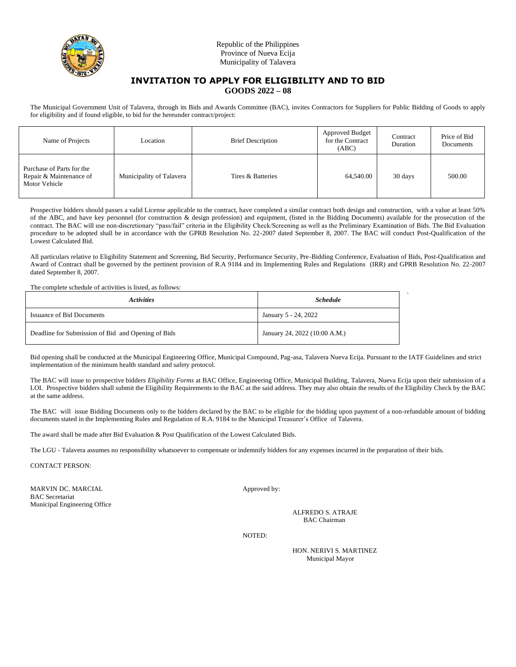

### **INVITATION TO APPLY FOR ELIGIBILITY AND TO BID GOODS 2022 – 08**

The Municipal Government Unit of Talavera, through its Bids and Awards Committee (BAC), invites Contractors for Suppliers for Public Bidding of Goods to apply for eligibility and if found eligible, to bid for the hereunder contract/project:

| Name of Projects                                                      | Location                 | <b>Brief Description</b> | Approved Budget<br>for the Contract<br>(ABC) | Contract<br>Duration | Price of Bid<br>Documents |
|-----------------------------------------------------------------------|--------------------------|--------------------------|----------------------------------------------|----------------------|---------------------------|
| Purchase of Parts for the<br>Repair & Maintenance of<br>Motor Vehicle | Municipality of Talavera | Tires & Batteries        | 64,540.00                                    | 30 days              | 500.00                    |

Prospective bidders should passes a valid License applicable to the contract, have completed a similar contract both design and construction, with a value at least 50% of the ABC, and have key personnel (for construction & design profession) and equipment, (listed in the Bidding Documents) available for the prosecution of the contract. The BAC will use non-discretionary "pass/fail" criteria in the Eligibility Check/Screening as well as the Preliminary Examination of Bids. The Bid Evaluation procedure to be adopted shall be in accordance with the GPRB Resolution No. 22-2007 dated September 8, 2007. The BAC will conduct Post-Qualification of the Lowest Calculated Bid.

All particulars relative to Eligibility Statement and Screening, Bid Security, Performance Security, Pre-Bidding Conference, Evaluation of Bids, Post-Qualification and Award of Contract shall be governed by the pertinent provision of R.A 9184 and its Implementing Rules and Regulations (IRR) and GPRB Resolution No. 22-2007 dated September 8, 2007.

The complete schedule of activities is listed, as follows:

| <i><b>Activities</b></i>                           | <b>Schedule</b>               |  |
|----------------------------------------------------|-------------------------------|--|
| <b>Issuance of Bid Documents</b>                   | January 5 - 24, 2022          |  |
| Deadline for Submission of Bid and Opening of Bids | January 24, 2022 (10:00 A.M.) |  |

Bid opening shall be conducted at the Municipal Engineering Office, Municipal Compound, Pag-asa, Talavera Nueva Ecija. Pursuant to the IATF Guidelines and strict implementation of the minimum health standard and safety protocol.

The BAC will issue to prospective bidders *Eligibility Forms* at BAC Office, Engineering Office, Municipal Building, Talavera, Nueva Ecija upon their submission of a LOI. Prospective bidders shall submit the Eligibility Requirements to the BAC at the said address. They may also obtain the results of the Eligibility Check by the BAC at the same address.

The BAC will issue Bidding Documents only to the bidders declared by the BAC to be eligible for the bidding upon payment of a non-refundable amount of bidding documents stated in the Implementing Rules and Regulation of R.A. 9184 to the Municipal Treasurer's Office of Talavera.

The award shall be made after Bid Evaluation & Post Qualification of the Lowest Calculated Bids.

The LGU - Talavera assumes no responsibility whatsoever to compensate or indemnify bidders for any expenses incurred in the preparation of their bids.

CONTACT PERSON:

MARVIN DC. MARCIAL Approved by: BAC Secretariat Municipal Engineering Office

ALFREDO S. ATRAJE BAC Chairman

NOTED:

HON. NERIVI S. MARTINEZ Municipal Mayor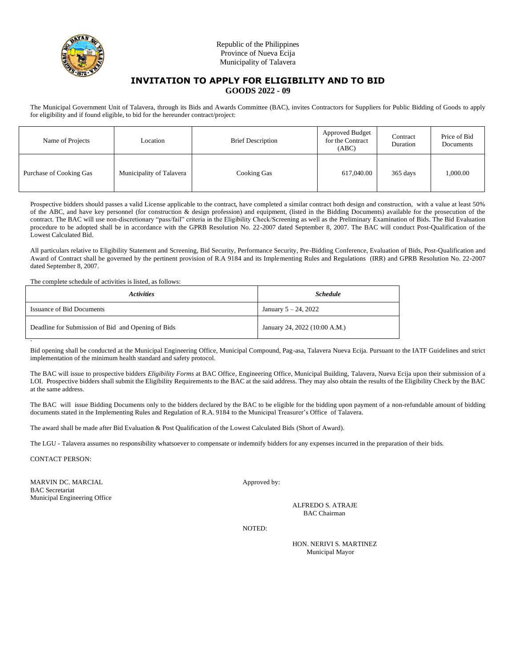

### **INVITATION TO APPLY FOR ELIGIBILITY AND TO BID GOODS 2022 - 09**

The Municipal Government Unit of Talavera, through its Bids and Awards Committee (BAC), invites Contractors for Suppliers for Public Bidding of Goods to apply for eligibility and if found eligible, to bid for the hereunder contract/project:

| Name of Projects        | Location                 | <b>Brief Description</b> | Approved Budget<br>for the Contract<br>(ABC) | Contract<br>Duration | Price of Bid<br>Documents |
|-------------------------|--------------------------|--------------------------|----------------------------------------------|----------------------|---------------------------|
| Purchase of Cooking Gas | Municipality of Talavera | Cooking Gas              | 617,040.00                                   | 365 days             | 1,000.00                  |

Prospective bidders should passes a valid License applicable to the contract, have completed a similar contract both design and construction, with a value at least 50% of the ABC, and have key personnel (for construction & design profession) and equipment, (listed in the Bidding Documents) available for the prosecution of the contract. The BAC will use non-discretionary "pass/fail" criteria in the Eligibility Check/Screening as well as the Preliminary Examination of Bids. The Bid Evaluation procedure to be adopted shall be in accordance with the GPRB Resolution No. 22-2007 dated September 8, 2007. The BAC will conduct Post-Qualification of the Lowest Calculated Bid.

All particulars relative to Eligibility Statement and Screening, Bid Security, Performance Security, Pre-Bidding Conference, Evaluation of Bids, Post-Qualification and Award of Contract shall be governed by the pertinent provision of R.A 9184 and its Implementing Rules and Regulations (IRR) and GPRB Resolution No. 22-2007 dated September 8, 2007.

The complete schedule of activities is listed, as follows:

| <i><b>Activities</b></i>                           | <b>Schedule</b>               |  |
|----------------------------------------------------|-------------------------------|--|
| <b>Issuance of Bid Documents</b>                   | January $5 - 24$ , 2022       |  |
| Deadline for Submission of Bid and Opening of Bids | January 24, 2022 (10:00 A.M.) |  |

` Bid opening shall be conducted at the Municipal Engineering Office, Municipal Compound, Pag-asa, Talavera Nueva Ecija. Pursuant to the IATF Guidelines and strict implementation of the minimum health standard and safety protocol.

The BAC will issue to prospective bidders *Eligibility Forms* at BAC Office, Engineering Office, Municipal Building, Talavera, Nueva Ecija upon their submission of a LOI. Prospective bidders shall submit the Eligibility Requirements to the BAC at the said address. They may also obtain the results of the Eligibility Check by the BAC at the same address.

The BAC will issue Bidding Documents only to the bidders declared by the BAC to be eligible for the bidding upon payment of a non-refundable amount of bidding documents stated in the Implementing Rules and Regulation of R.A. 9184 to the Municipal Treasurer's Office of Talavera.

The award shall be made after Bid Evaluation & Post Qualification of the Lowest Calculated Bids (Short of Award).

The LGU - Talavera assumes no responsibility whatsoever to compensate or indemnify bidders for any expenses incurred in the preparation of their bids.

CONTACT PERSON:

MARVIN DC. MARCIAL Approved by: BAC Secretariat Municipal Engineering Office

ALFREDO S. ATRAJE BAC Chairman

NOTED: